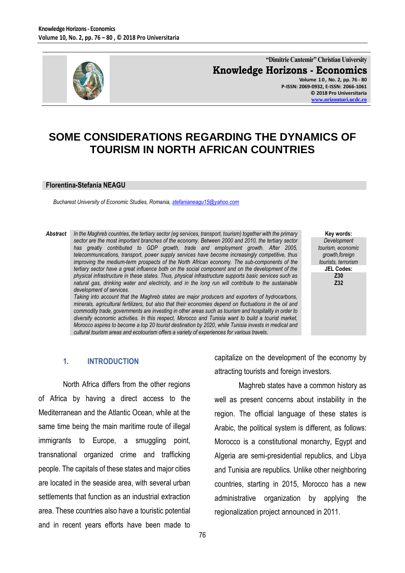

**"Dimitrie Cantemir" Christian University Knowledge Horizons - Economics Volume 1 0 , No. 2, pp. 76 - 80**

**P-ISSN: 2069-0932, E-ISSN: 2066-1061 © 2018 Pro Universitaria [www.orizonturi.ucdc.ro](http://www.orizonturi.ucdc.ro/)**

# **SOME CONSIDERATIONS REGARDING THE DYNAMICS OF TOURISM IN NORTH AFRICAN COUNTRIES**

#### **Florentina-Stefania NEAGU**

*Bucharest University of Economic Studies, Romania, [stefanianeagu15@yahoo.com](mailto:stefanianeagu15@yahoo.com)*

*Abstract In the Maghreb countries, the tertiary sector (eg services, transport, tourism) together with the primary sector are the most important branches of the economy. Between 2000 and 2010, the tertiary sector has greatly contributed to GDP growth, trade and employment growth. After 2005, telecommunications, transport, power supply services have become increasingly competitive, thus improving the medium-term prospects of the North African economy. The sub-components of the tertiary sector have a great influence both on the social component and on the development of the physical infrastructure in these states. Thus, physical infrastructure supports basic services such as natural gas, drinking water and electricity, and in the long run will contribute to the sustainable development of services. Taking into account that the Maghreb states are major producers and exporters of hydrocarbons,* 

*minerals, agricultural fertilizers, but also that their economies depend on fluctuations in the oil and commodity trade, governments are investing in other areas such as tourism and hospitality in order to diversify economic activities. In this respect, Morocco and Tunisia want to build a tourist market, Morocco aspires to become a top 20 tourist destination by 2020, while Tunisia invests in medical and cultural tourism areas and ecotourism offers a variety of experiences for various travels.*

#### **Key words:** *Development tourism, economic growth,foreign tourists, terrorism*  **JEL Codes: Z30 Z32**

#### **1. INTRODUCTION**

North Africa differs from the other regions of Africa by having a direct access to the Mediterranean and the Atlantic Ocean, while at the same time being the main maritime route of illegal immigrants to Europe, a smuggling point, transnational organized crime and trafficking people. The capitals of these states and major cities are located in the seaside area, with several urban settlements that function as an industrial extraction area. These countries also have a touristic potential and in recent years efforts have been made to

capitalize on the development of the economy by attracting tourists and foreign investors.

Maghreb states have a common history as well as present concerns about instability in the region. The official language of these states is Arabic, the political system is different, as follows: Morocco is a constitutional monarchy, Egypt and Algeria are semi-presidential republics, and Libya and Tunisia are republics. Unlike other neighboring countries, starting in 2015, Morocco has a new administrative organization by applying the regionalization project announced in 2011.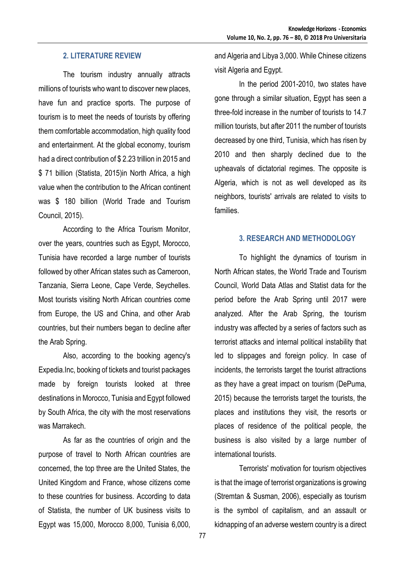# **2. LITERATURE REVIEW**

The tourism industry annually attracts millions of tourists who want to discover new places, have fun and practice sports. The purpose of tourism is to meet the needs of tourists by offering them comfortable accommodation, high quality food and entertainment. At the global economy, tourism had a direct contribution of \$2.23 trillion in 2015 and \$ 71 billion (Statista, 2015)in North Africa, a high value when the contribution to the African continent was \$ 180 billion (World Trade and Tourism Council, 2015).

According to the Africa Tourism Monitor, over the years, countries such as Egypt, Morocco, Tunisia have recorded a large number of tourists followed by other African states such as Cameroon, Tanzania, Sierra Leone, Cape Verde, Seychelles. Most tourists visiting North African countries come from Europe, the US and China, and other Arab countries, but their numbers began to decline after the Arab Spring.

Also, according to the booking agency's Expedia.Inc, booking of tickets and tourist packages made by foreign tourists looked at three destinations in Morocco, Tunisia and Egypt followed by South Africa, the city with the most reservations was Marrakech.

As far as the countries of origin and the purpose of travel to North African countries are concerned, the top three are the United States, the United Kingdom and France, whose citizens come to these countries for business. According to data of Statista, the number of UK business visits to Egypt was 15,000, Morocco 8,000, Tunisia 6,000,

and Algeria and Libya 3,000. While Chinese citizens visit Algeria and Egypt.

In the period 2001-2010, two states have gone through a similar situation, Egypt has seen a three-fold increase in the number of tourists to 14.7 million tourists, but after 2011 the number of tourists decreased by one third, Tunisia, which has risen by 2010 and then sharply declined due to the upheavals of dictatorial regimes. The opposite is Algeria, which is not as well developed as its neighbors, tourists' arrivals are related to visits to families.

#### **3. RESEARCH AND METHODOLOGY**

To highlight the dynamics of tourism in North African states, the World Trade and Tourism Council, World Data Atlas and Statist data for the period before the Arab Spring until 2017 were analyzed. After the Arab Spring, the tourism industry was affected by a series of factors such as terrorist attacks and internal political instability that led to slippages and foreign policy. In case of incidents, the terrorists target the tourist attractions as they have a great impact on tourism (DePuma, 2015) because the terrorists target the tourists, the places and institutions they visit, the resorts or places of residence of the political people, the business is also visited by a large number of international tourists.

Terrorists' motivation for tourism objectives is that the image of terrorist organizations is growing (Stremtan & Susman, 2006), especially as tourism is the symbol of capitalism, and an assault or kidnapping of an adverse western country is a direct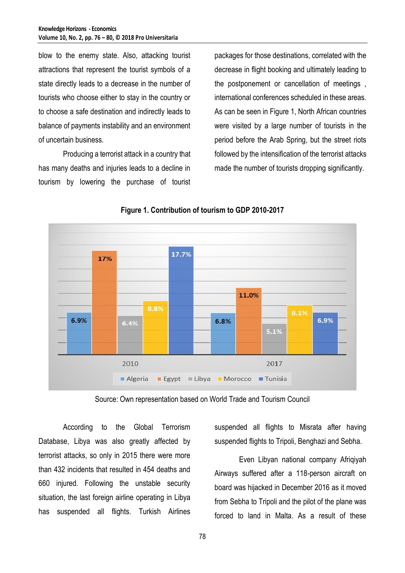blow to the enemy state. Also, attacking tourist attractions that represent the tourist symbols of a state directly leads to a decrease in the number of tourists who choose either to stay in the country or to choose a safe destination and indirectly leads to balance of payments instability and an environment of uncertain business.

Producing a terrorist attack in a country that has many deaths and injuries leads to a decline in tourism by lowering the purchase of tourist

packages for those destinations, correlated with the decrease in flight booking and ultimately leading to the postponement or cancellation of meetings , international conferences scheduled in these areas. As can be seen in Figure 1, North African countries were visited by a large number of tourists in the period before the Arab Spring, but the street riots followed by the intensification of the terrorist attacks made the number of tourists dropping significantly.



**Figure 1. Contribution of tourism to GDP 2010-2017**

Source: Own representation based on World Trade and Tourism Council

According to the Global Terrorism Database, Libya was also greatly affected by terrorist attacks, so only in 2015 there were more than 432 incidents that resulted in 454 deaths and 660 injured. Following the unstable security situation, the last foreign airline operating in Libya has suspended all flights. Turkish Airlines

suspended all flights to Misrata after having suspended flights to Tripoli, Benghazi and Sebha.

Even Libyan national company Afriqiyah Airways suffered after a 118-person aircraft on board was hijacked in December 2016 as it moved from Sebha to Tripoli and the pilot of the plane was forced to land in Malta. As a result of these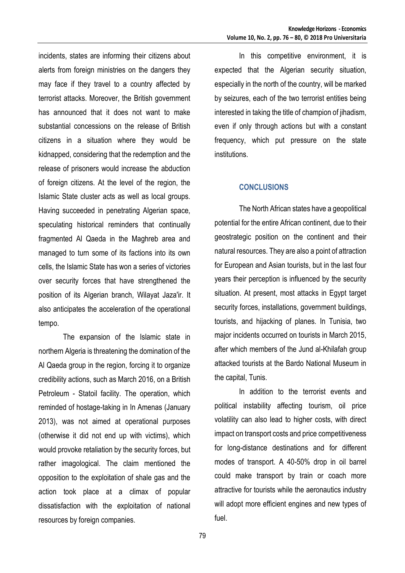incidents, states are informing their citizens about alerts from foreign ministries on the dangers they may face if they travel to a country affected by terrorist attacks. Moreover, the British government has announced that it does not want to make substantial concessions on the release of British citizens in a situation where they would be kidnapped, considering that the redemption and the release of prisoners would increase the abduction of foreign citizens. At the level of the region, the Islamic State cluster acts as well as local groups. Having succeeded in penetrating Algerian space, speculating historical reminders that continually fragmented Al Qaeda in the Maghreb area and managed to turn some of its factions into its own cells, the Islamic State has won a series of victories over security forces that have strengthened the position of its Algerian branch, Wilayat Jaza'ir. It also anticipates the acceleration of the operational tempo.

The expansion of the Islamic state in northern Algeria is threatening the domination of the Al Qaeda group in the region, forcing it to organize credibility actions, such as March 2016, on a British Petroleum - Statoil facility. The operation, which reminded of hostage-taking in In Amenas (January 2013), was not aimed at operational purposes (otherwise it did not end up with victims), which would provoke retaliation by the security forces, but rather imagological. The claim mentioned the opposition to the exploitation of shale gas and the action took place at a climax of popular dissatisfaction with the exploitation of national resources by foreign companies.

In this competitive environment, it is expected that the Algerian security situation, especially in the north of the country, will be marked by seizures, each of the two terrorist entities being interested in taking the title of champion of jihadism, even if only through actions but with a constant frequency, which put pressure on the state institutions.

### **CONCLUSIONS**

The North African states have a geopolitical potential for the entire African continent, due to their geostrategic position on the continent and their natural resources. They are also a point of attraction for European and Asian tourists, but in the last four years their perception is influenced by the security situation. At present, most attacks in Egypt target security forces, installations, government buildings, tourists, and hijacking of planes. In Tunisia, two major incidents occurred on tourists in March 2015, after which members of the Jund al-Khilafah group attacked tourists at the Bardo National Museum in the capital, Tunis.

In addition to the terrorist events and political instability affecting tourism, oil price volatility can also lead to higher costs, with direct impact on transport costs and price competitiveness for long-distance destinations and for different modes of transport. A 40-50% drop in oil barrel could make transport by train or coach more attractive for tourists while the aeronautics industry will adopt more efficient engines and new types of fuel.